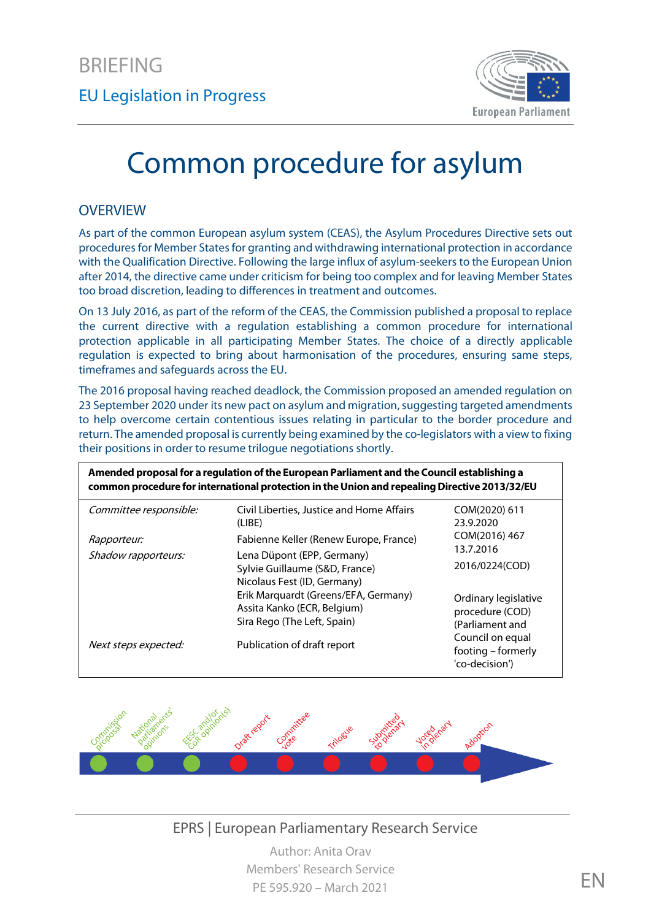

# Common procedure for asylum

#### **OVERVIEW**

As part of the common European asylum system (CEAS), the Asylum Procedures Directive sets out procedures for Member States for granting and withdrawing international protection in accordance with the Qualification Directive. Following the large influx of asylum-seekers to the European Union after 2014, the directive came under criticism for being too complex and for leaving Member States too broad discretion, leading to differences in treatment and outcomes.

On 13 July 2016, as part of the reform of the CEAS, the Commission published a proposal to replace the current directive with a regulation establishing a common procedure for international protection applicable in all participating Member States. The choice of a directly applicable regulation is expected to bring about harmonisation of the procedures, ensuring same steps, timeframes and safeguards across the EU.

The 2016 proposal having reached deadlock, the Commission proposed an amended regulation on 23 September 2020 under its new pact on asylum and migration, suggesting targeted amendments to help overcome certain contentious issues relating in particular to the border procedure and return. The amended proposal is currently being examined by the co-legislators with a view to fixing their positions in order to resume trilogue negotiations shortly.

| Amended proposal for a regulation of the European Parliament and the Council establishing a<br>common procedure for international protection in the Union and repealing Directive 2013/32/EU |                                                                                                                                     |                                                            |
|----------------------------------------------------------------------------------------------------------------------------------------------------------------------------------------------|-------------------------------------------------------------------------------------------------------------------------------------|------------------------------------------------------------|
| Committee responsible:                                                                                                                                                                       | Civil Liberties, Justice and Home Affairs<br>(LIBE)                                                                                 | COM(2020) 611<br>23.9.2020                                 |
| <i>Rapporteur:</i>                                                                                                                                                                           | Fabienne Keller (Renew Europe, France)                                                                                              | COM(2016) 467<br>13.7.2016                                 |
| Shadow rapporteurs:                                                                                                                                                                          | Lena Düpont (EPP, Germany)<br>Sylvie Guillaume (S&D, France)<br>Nicolaus Fest (ID, Germany)<br>Erik Marquardt (Greens/EFA, Germany) | 2016/0224(COD)                                             |
|                                                                                                                                                                                              | Assita Kanko (ECR, Belgium)<br>Sira Rego (The Left, Spain)                                                                          | Ordinary legislative<br>procedure (COD)<br>(Parliament and |
| Next steps expected:                                                                                                                                                                         | Publication of draft report                                                                                                         | Council on equal<br>footing – formerly<br>'co-decision')   |



EPRS | European Parliamentary Research Service

Author: Anita Orav Members' Research Service PE 595.920 – March 2021 **EN**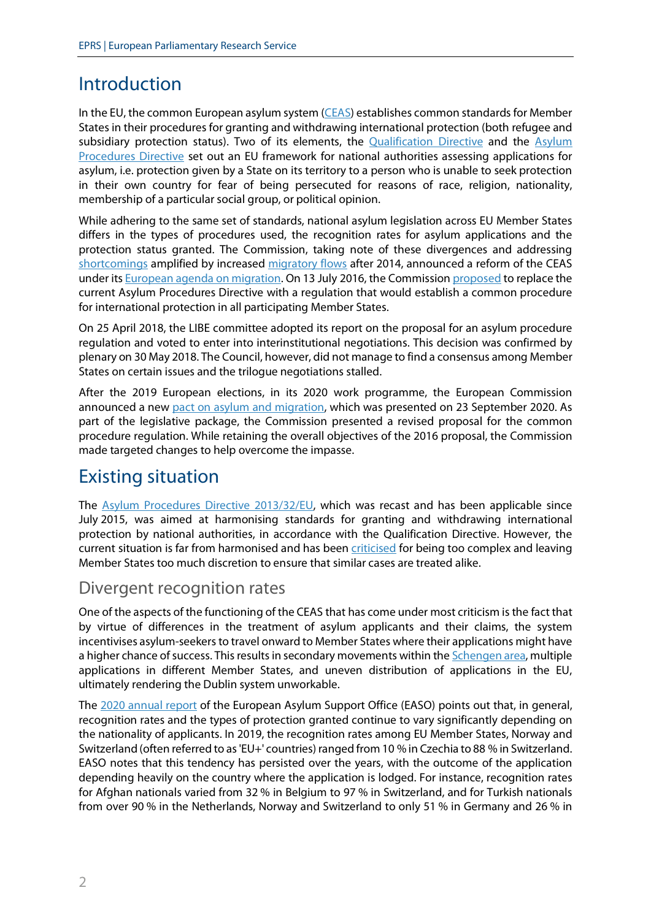# Introduction

In the EU, the common European asylum system [\(CEAS\)](https://ec.europa.eu/home-affairs/what-we-do/policies/asylum_en) establishes common standards for Member States in their procedures for granting and withdrawing international protection (both refugee and subsidiary protection status). Two of its elements, the [Qualification Directive](http://eur-lex.europa.eu/legal-content/en/TXT/?uri=celex%3A32011L0095) and the Asylum [Procedures Directive](http://eur-lex.europa.eu/legal-content/EN/TXT/?uri=celex:32013L0032) set out an EU framework for national authorities assessing applications for asylum, i.e. protection given by a State on its territory to a person who is unable to seek protection in their own country for fear of being persecuted for reasons of race, religion, nationality, membership of a particular social group, or political opinion.

While adhering to the same set of standards, national asylum legislation across EU Member States differs in the types of procedures used, the recognition rates for asylum applications and the protection status granted. The Commission, taking note of these divergences and addressing [shortcomings](http://www.europarl.europa.eu/RegData/etudes/STUD/2015/519234/IPOL_STU%282015%29519234_EN.pdf) amplified by increased [migratory flows](https://www.europarl.europa.eu/thinktank/infographics/migration/public/index.html?page=intro) after 2014, announced a reform of the CEAS under it[s European agenda on migration.](http://eur-lex.europa.eu/legal-content/EN/TXT/?uri=celex%3A52015DC0240) On 13 July 2016, the Commission [proposed](http://eur-lex.europa.eu/legal-content/EN/TXT/?uri=COM:2016:0467:FIN) to replace the current Asylum Procedures Directive with a regulation that would establish a common procedure for international protection in all participating Member States.

On 25 April 2018, the LIBE committee adopted its report on the proposal for an asylum procedure regulation and voted to enter into interinstitutional negotiations. This decision was confirmed by plenary on 30 May 2018. The Council, however, did not manage to find a consensus among Member States on certain issues and the trilogue negotiations stalled.

After the 2019 European elections, in its 2020 work programme, the European Commission announced a ne[w pact on asylum and migration,](https://ec.europa.eu/info/strategy/priorities-2019-2024/promoting-our-european-way-life/new-pact-migration-and-asylum_en) which was presented on 23 September 2020. As part of the legislative package, the Commission presented a revised proposal for the common procedure regulation. While retaining the overall objectives of the 2016 proposal, the Commission made targeted changes to help overcome the impasse.

## Existing situation

The [Asylum Procedures Directive 2013/32/EU,](https://eur-lex.europa.eu/legal-content/en/ALL/?uri=celex%3A32013L0032) which was recast and has been applicable since July 2015, was aimed at harmonising standards for granting and withdrawing international protection by national authorities, in accordance with the Qualification Directive. However, the current situation is far from harmonised and has been [criticised](http://www.europarl.europa.eu/RegData/etudes/STUD/2016/556953/IPOL_STU%282016%29556953_EN.pdf) for being too complex and leaving Member States too much discretion to ensure that similar cases are treated alike.

## Divergent recognition rates

One of the aspects of the functioning of the CEAS that has come under most criticism is the fact that by virtue of differences in the treatment of asylum applicants and their claims, the system incentivises asylum-seekers to travel onward to Member States where their applications might have a higher chance of success. This results in secondary movements within the *Schengen area*, multiple applications in different Member States, and uneven distribution of applications in the EU, ultimately rendering the Dublin system unworkable.

The [2020 annual report](https://www.easo.europa.eu/asylum-report-2020/45-decisions-rendered-applications-international-protection) of the European Asylum Support Office (EASO) points out that, in general, recognition rates and the types of protection granted continue to vary significantly depending on the nationality of applicants. In 2019, the recognition rates among EU Member States, Norway and Switzerland (often referred to as 'EU+' countries) ranged from 10 % in Czechia to 88 % in Switzerland. EASO notes that this tendency has persisted over the years, with the outcome of the application depending heavily on the country where the application is lodged. For instance, recognition rates for Afghan nationals varied from 32 % in Belgium to 97 % in Switzerland, and for Turkish nationals from over 90 % in the Netherlands, Norway and Switzerland to only 51 % in Germany and 26 % in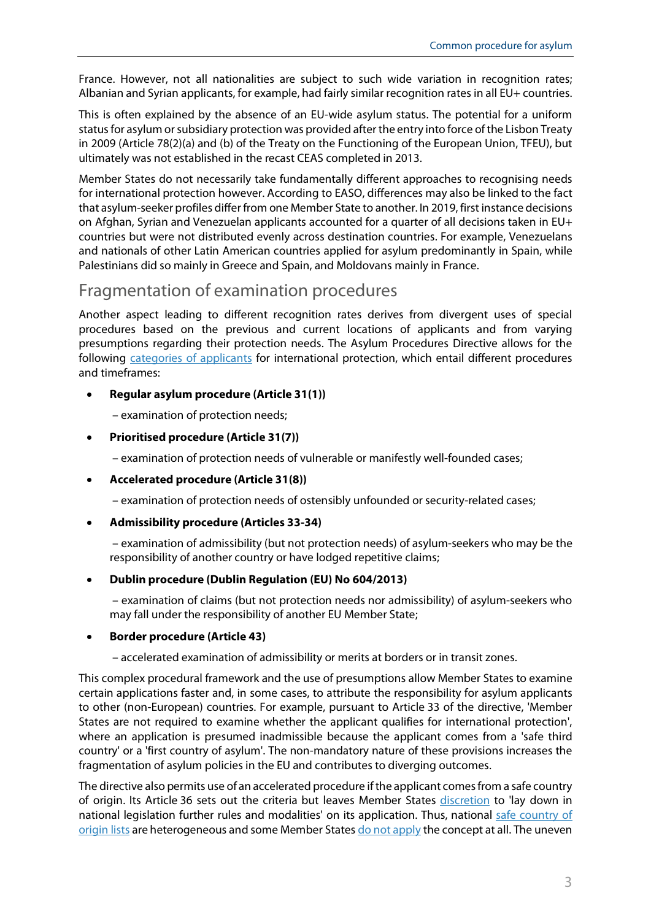France. However, not all nationalities are subject to such wide variation in recognition rates; Albanian and Syrian applicants, for example, had fairly similar recognition rates in all EU+ countries.

This is often explained by the absence of an EU-wide asylum status. The potential for a uniform status for asylum or subsidiary protection was provided after the entry into force of the Lisbon Treaty in 2009 (Article 78(2)(a) and (b) of the Treaty on the Functioning of the European Union, TFEU), but ultimately was not established in the recast CEAS completed in 2013.

Member States do not necessarily take fundamentally different approaches to recognising needs for international protection however. According to EASO, differences may also be linked to the fact that asylum-seeker profiles differ from one Member State to another. In 2019, first instance decisions on Afghan, Syrian and Venezuelan applicants accounted for a quarter of all decisions taken in EU+ countries but were not distributed evenly across destination countries. For example, Venezuelans and nationals of other Latin American countries applied for asylum predominantly in Spain, while Palestinians did so mainly in Greece and Spain, and Moldovans mainly in France.

## Fragmentation of examination procedures

Another aspect leading to different recognition rates derives from divergent uses of special procedures based on the previous and current locations of applicants and from varying presumptions regarding their protection needs. The Asylum Procedures Directive allows for the following [categories of applicants](http://www.asylumineurope.org/sites/default/files/shadow-reports/admissibility_responsibility_and_safety_in_european_asylum_procedures.pdf) for international protection, which entail different procedures and timeframes:

#### • **Regular asylum procedure (Article 31(1))**

– examination of protection needs;

#### • **Prioritised procedure (Article 31(7))**

– examination of protection needs of vulnerable or manifestly well-founded cases;

• **Accelerated procedure (Article 31(8))**

– examination of protection needs of ostensibly unfounded or security-related cases;

• **Admissibility procedure (Articles 33-34)**

– examination of admissibility (but not protection needs) of asylum-seekers who may be the responsibility of another country or have lodged repetitive claims;

#### • **Dublin procedure (Dublin Regulation (EU) No 604/2013)**

– examination of claims (but not protection needs nor admissibility) of asylum-seekers who may fall under the responsibility of another EU Member State;

#### • **Border procedure (Article 43)**

– accelerated examination of admissibility or merits at borders or in transit zones.

This complex procedural framework and the use of presumptions allow Member States to examine certain applications faster and, in some cases, to attribute the responsibility for asylum applicants to other (non-European) countries. For example, pursuant to Article 33 of the directive, 'Member States are not required to examine whether the applicant qualifies for international protection', where an application is presumed inadmissible because the applicant comes from a 'safe third country' or a 'first country of asylum'. The non-mandatory nature of these provisions increases the fragmentation of asylum policies in the EU and contributes to diverging outcomes.

The directive also permits use of an accelerated procedure if the applicant comes from a safe country of origin. Its Article 36 sets out the criteria but leaves Member States [discretion](https://ec.europa.eu/home-affairs/sites/homeaffairs/files/what-we-do/networks/european_migration_network/reports/docs/ad-hoc-queries/protection/582_emn_ahq_on_implementation_art_36_directive_2013_32_en.pdf) to 'lay down in national legislation further rules and modalities' on its application. Thus, national safe country of [origin lists](http://www.europarl.europa.eu/RegData/etudes/BRIE/2015/569008/EPRS_BRI%282015%29569008_EN.pdf) are heterogeneous and some Member States [do not apply](https://ec.europa.eu/home-affairs/sites/homeaffairs/files/2017.1236_safe_countries_of_origin.pdf) the concept at all. The uneven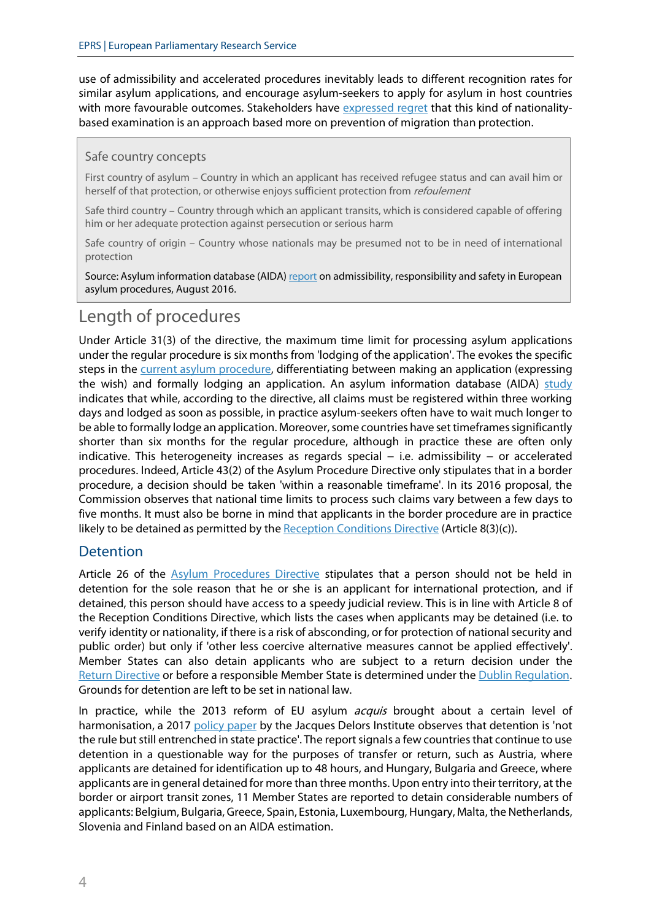use of admissibility and accelerated procedures inevitably leads to different recognition rates for similar asylum applications, and encourage asylum-seekers to apply for asylum in host countries with more favourable outcomes. Stakeholders have [expressed regret](https://www.ecre.org/wp-content/uploads/2019/07/Policy-Note-21.pdf) that this kind of nationalitybased examination is an approach based more on prevention of migration than protection.

#### Safe country concepts

First country of asylum – Country in which an applicant has received refugee status and can avail him or herself of that protection, or otherwise enjoys sufficient protection from *refoulement* 

Safe third country – Country through which an applicant transits, which is considered capable of offering him or her adequate protection against persecution or serious harm

Safe country of origin – Country whose nationals may be presumed not to be in need of international protection

Source: Asylum information database (AIDA[\) report](http://www.asylumineurope.org/sites/default/files/shadow-reports/admissibility_responsibility_and_safety_in_european_asylum_procedures.pdf) on admissibility, responsibility and safety in European asylum procedures, August 2016.

## Length of procedures

Under Article 31(3) of the directive, the maximum time limit for processing asylum applications under the regular procedure is six months from 'lodging of the application'. The evokes the specific steps in the [current asylum procedure,](https://www.europarl.europa.eu/RegData/etudes/ATAG/2017/599397/EPRS_ATA(2017)599397_EN.pdf) differentiating between making an application (expressing the wish) and formally lodging an application. An asylum information database (AIDA)  $study$ indicates that while, according to the directive, all claims must be registered within three working days and lodged as soon as possible, in practice asylum-seekers often have to wait much longer to be able to formally lodge an application. Moreover, some countries have set timeframes significantly shorter than six months for the regular procedure, although in practice these are often only indicative. This heterogeneity increases as regards special − i.e. admissibility − or accelerated procedures. Indeed, Article 43(2) of the Asylum Procedure Directive only stipulates that in a border procedure, a decision should be taken 'within a reasonable timeframe'. In its 2016 proposal, the Commission observes that national time limits to process such claims vary between a few days to five months. It must also be borne in mind that applicants in the border procedure are in practice likely to be detained as permitted by th[e Reception Conditions Directive](https://eur-lex.europa.eu/legal-content/en/ALL/?uri=celex%3A32013L0033) (Article  $8(3)(c)$ ).

#### **Detention**

Article 26 of the [Asylum Procedures Directive](https://eur-lex.europa.eu/legal-content/EN/TXT/PDF/?uri=CELEX:32013L0032&from=en) stipulates that a person should not be held in detention for the sole reason that he or she is an applicant for international protection, and if detained, this person should have access to a speedy judicial review. This is in line with Article 8 of the Reception Conditions Directive, which lists the cases when applicants may be detained (i.e. to verify identity or nationality, if there is a risk of absconding, or for protection of national security and public order) but only if 'other less coercive alternative measures cannot be applied effectively'. Member States can also detain applicants who are subject to a return decision under the Return [Directive](https://eur-lex.europa.eu/legal-content/EN/ALL/?uri=celex%3A32008L0115) or before a responsible Member State is determined under th[e Dublin Regulation.](https://eur-lex.europa.eu/legal-content/en/ALL/?uri=celex%3A32013R0604) Grounds for detention are left to be set in national law.

In practice, while the 2013 reform of EU asylum *acquis* brought about a certain level of harmonisation, a 2017 [policy paper](http://www.institutdelors.eu/wp-content/uploads/2018/01/asylumdetentionineurope-walter-jdib-may2017.pdf) by the Jacques Delors Institute observes that detention is 'not the rule but still entrenched in state practice'. The report signals a few countries that continue to use detention in a questionable way for the purposes of transfer or return, such as Austria, where applicants are detained for identification up to 48 hours, and Hungary, Bulgaria and Greece, where applicants are in general detained for more than three months. Upon entry into their territory, at the border or airport transit zones, 11 Member States are reported to detain considerable numbers of applicants: Belgium, Bulgaria, Greece, Spain, Estonia, Luxembourg, Hungary, Malta, the Netherlands, Slovenia and Finland based on an AIDA estimation.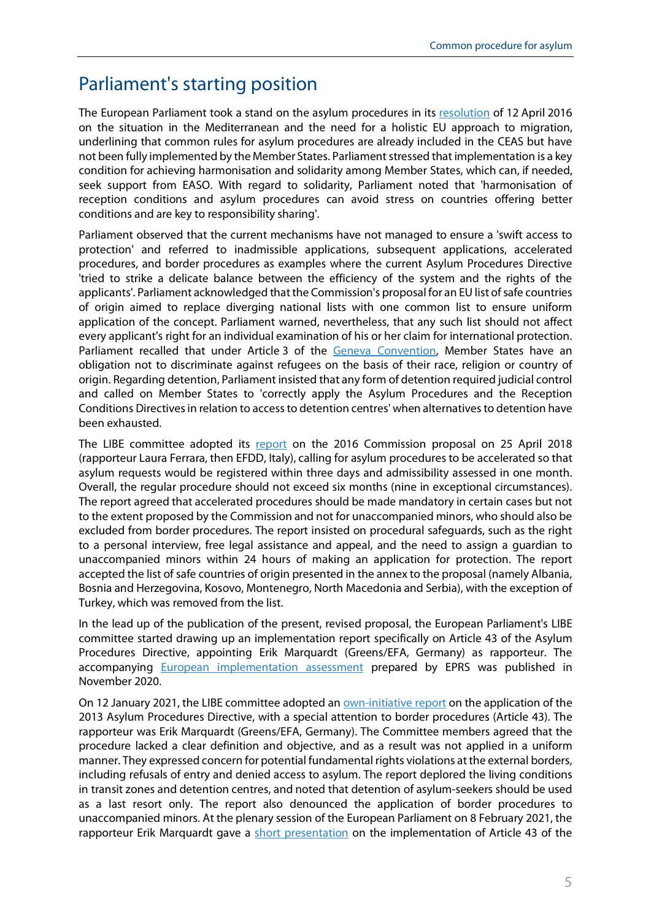## Parliament's starting position

The European Parliament took a stand on the asylum procedures in its [resolution](http://www.europarl.europa.eu/sides/getDoc.do?pubRef=-//EP//TEXT+TA+P8-TA-2016-0102+0+DOC+XML+V0//EN) of 12 April 2016 on the situation in the Mediterranean and the need for a holistic EU approach to migration, underlining that common rules for asylum procedures are already included in the CEAS but have not been fully implemented by the Member States. Parliament stressed that implementation is a key condition for achieving harmonisation and solidarity among Member States, which can, if needed, seek support from EASO. With regard to solidarity, Parliament noted that 'harmonisation of reception conditions and asylum procedures can avoid stress on countries offering better conditions and are key to responsibility sharing'.

Parliament observed that the current mechanisms have not managed to ensure a 'swift access to protection' and referred to inadmissible applications, subsequent applications, accelerated procedures, and border procedures as examples where the current Asylum Procedures Directive 'tried to strike a delicate balance between the efficiency of the system and the rights of the applicants'. Parliament acknowledged that the Commission's proposal for an EU list of safe countries of origin aimed to replace diverging national lists with one common list to ensure uniform application of the concept. Parliament warned, nevertheless, that any such list should not affect every applicant's right for an individual examination of his or her claim for international protection. Parliament recalled that under Article 3 of the [Geneva Convention,](http://www.unhcr.org/protection/basic/3b66c2aa10/convention-protocol-relating-status-refugees.html) Member States have an obligation not to discriminate against refugees on the basis of their race, religion or country of origin. Regarding detention, Parliament insisted that any form of detention required judicial control and called on Member States to 'correctly apply the Asylum Procedures and the Reception Conditions Directives in relation to access to detention centres' when alternatives to detention have been exhausted.

The LIBE committee adopted its [report](https://www.europarl.europa.eu/doceo/document/A-8-2018-0171_EN.html?redirect) on the 2016 Commission proposal on 25 April 2018 (rapporteur Laura Ferrara, then EFDD, Italy), calling for asylum procedures to be accelerated so that asylum requests would be registered within three days and admissibility assessed in one month. Overall, the regular procedure should not exceed six months (nine in exceptional circumstances). The report agreed that accelerated procedures should be made mandatory in certain cases but not to the extent proposed by the Commission and not for unaccompanied minors, who should also be excluded from border procedures. The report insisted on procedural safeguards, such as the right to a personal interview, free legal assistance and appeal, and the need to assign a guardian to unaccompanied minors within 24 hours of making an application for protection. The report accepted the list of safe countries of origin presented in the annex to the proposal (namely Albania, Bosnia and Herzegovina, Kosovo, Montenegro, North Macedonia and Serbia), with the exception of Turkey, which was removed from the list.

In the lead up of the publication of the present, revised proposal, the European Parliament's LIBE committee started drawing up an implementation report specifically on Article 43 of the Asylum Procedures Directive, appointing Erik Marquardt (Greens/EFA, Germany) as rapporteur. The accompanying [European implementation assessment](https://www.europarl.europa.eu/RegData/etudes/STUD/2020/654201/EPRS_STU(2020)654201_EN.pdf) prepared by EPRS was published in November 2020.

On 12 January 2021, the LIBE committee adopted an **[own-initiative report](https://www.europarl.europa.eu/doceo/document/LIBE-PR-660061_EN.html?redirect)** on the application of the 2013 Asylum Procedures Directive, with a special attention to border procedures (Article 43). The rapporteur was Erik Marquardt (Greens/EFA, Germany). The Committee members agreed that the procedure lacked a clear definition and objective, and as a result was not applied in a uniform manner. They expressed concern for potential fundamental rights violations at the external borders, including refusals of entry and denied access to asylum. The report deplored the living conditions in transit zones and detention centres, and noted that detention of asylum-seekers should be used as a last resort only. The report also denounced the application of border procedures to unaccompanied minors. At the plenary session of the European Parliament on 8 February 2021, the rapporteur Erik Marquardt gave a [short presentation](https://www.europarl.europa.eu/doceo/document/CRE-9-2021-02-08-ITM-021_EN.html) on the implementation of Article 43 of the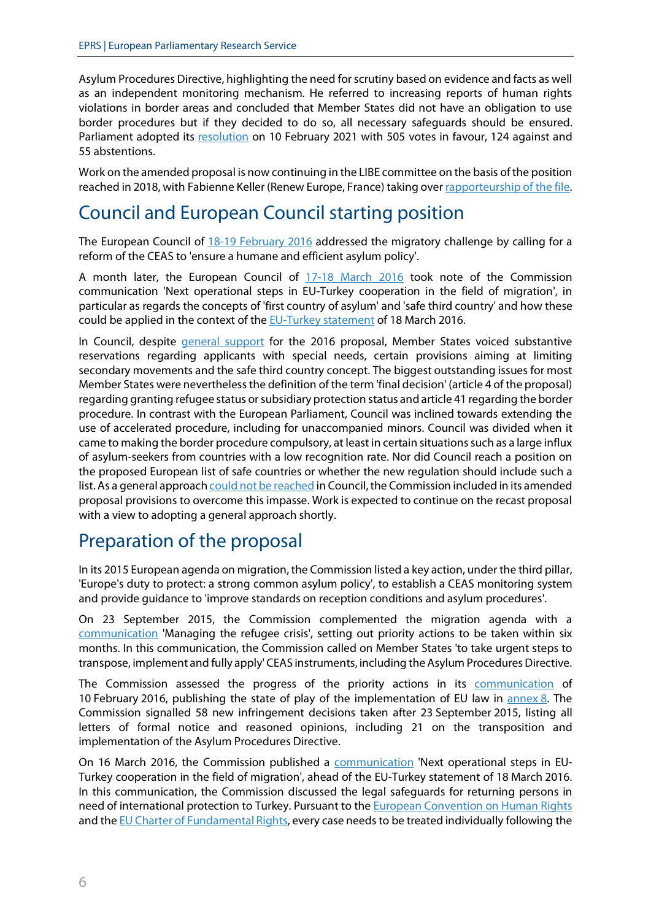Asylum Procedures Directive, highlighting the need for scrutiny based on evidence and facts as well as an independent monitoring mechanism. He referred to increasing reports of human rights violations in border areas and concluded that Member States did not have an obligation to use border procedures but if they decided to do so, all necessary safeguards should be ensured. Parliament adopted its [resolution](https://www.europarl.europa.eu/doceo/document/TA-9-2021-0042_EN.html) on 10 February 2021 with 505 votes in favour, 124 against and 55 abstentions.

Work on the amended proposal is now continuing in the LIBE committee on the basis of the position reached in 2018, with Fabienne Keller (Renew Europe, France) taking ove[r rapporteurship of](https://oeil.secure.europarl.europa.eu/oeil/popups/ficheprocedure.do?reference=2016/0224(COD)&l=en) the file.

# Council and European Council starting position

The European Council of [18-19 February 2016](http://www.consilium.europa.eu/en/meetings/european-council/2016/02/18-19/) addressed the migratory challenge by calling for a reform of the CEAS to 'ensure a humane and efficient asylum policy'.

A month later, the European Council of [17-18 March 2016](http://www.consilium.europa.eu/en/press/press-releases/2016/03/18-european-council-conclusions/) took note of the Commission communication 'Next operational steps in EU-Turkey cooperation in the field of migration', in particular as regards the concepts of 'first country of asylum' and 'safe third country' and how these could be applied in the context of the **EU-Turkey statement** of 18 March 2016.

In Council, despite *[general support](https://data.consilium.europa.eu/doc/document/ST-12802-2017-INIT/en/pdf)* for the 2016 proposal, Member States voiced substantive reservations regarding applicants with special needs, certain provisions aiming at limiting secondary movements and the safe third country concept. The biggest outstanding issues for most Member States were nevertheless the definition of the term 'final decision' (article 4 of the proposal) regarding granting refugee status or subsidiary protection status and article 41 regarding the border procedure. In contrast with the European Parliament, Council was inclined towards extending the use of accelerated procedure, including for unaccompanied minors. Council was divided when it came to making the border procedure compulsory, at least in certain situations such as a large influx of asylum-seekers from countries with a low recognition rate. Nor did Council reach a position on the proposed European list of safe countries or whether the new regulation should include such a list. As a general approac[h could not be reached](https://data.consilium.europa.eu/doc/document/ST-9693-2019-INIT/en/pdf) in Council, the Commission included in its amended proposal provisions to overcome this impasse. Work is expected to continue on the recast proposal with a view to adopting a general approach shortly.

## Preparation of the proposal

In its 2015 European agenda on migration, the Commission listed a key action, under the third pillar, 'Europe's duty to protect: a strong common asylum policy', to establish a CEAS monitoring system and provide guidance to 'improve standards on reception conditions and asylum procedures'.

On 23 September 2015, the Commission complemented the migration agenda with a [communication](http://eur-lex.europa.eu/legal-content/EN/TXT/?uri=COM%3A2015%3A490%3AREV1) 'Managing the refugee crisis', setting out priority actions to be taken within six months. In this communication, the Commission called on Member States 'to take urgent steps to transpose, implement and fully apply' CEAS instruments, including the Asylum Procedures Directive.

The Commission assessed the progress of the priority actions in its [communication](http://ec.europa.eu/dgs/home-affairs/what-we-do/policies/european-agenda-migration/proposal-implementation-package/docs/managing_the_refugee_crisis_state_of_play_20160210_en.pdf) of 10 February 2016, publishing the state of play of the implementation of EU law in [annex](http://ec.europa.eu/dgs/home-affairs/what-we-do/policies/european-agenda-migration/proposal-implementation-package/docs/managing_the_refugee_crisis_state_of_play_20160210_annex_08_en.pdf) 8. The Commission signalled 58 new infringement decisions taken after 23 September 2015, listing all letters of formal notice and reasoned opinions, including 21 on the transposition and implementation of the Asylum Procedures Directive.

On 16 March 2016, the Commission published a [communication](http://ec.europa.eu/dgs/home-affairs/what-we-do/policies/european-agenda-migration/proposal-implementation-package/docs/20160316/next_operational_steps_in_eu-turkey_cooperation_in_the_field_of_migration_en.pdf) 'Next operational steps in EU-Turkey cooperation in the field of migration', ahead of the EU-Turkey statement of 18 March 2016. In this communication, the Commission discussed the legal safeguards for returning persons in need of international protection to Turkey. Pursuant to the **European Convention on Human Rights** and th[e EU Charter of Fundamental Rights,](http://www.europarl.europa.eu/charter/pdf/text_en.pdf) every case needs to be treated individually following the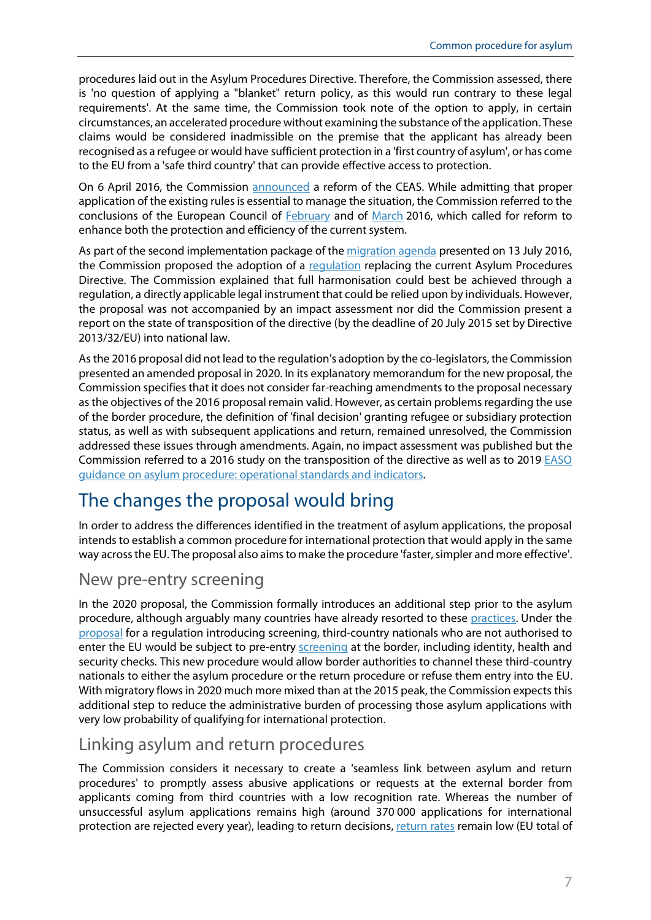procedures laid out in the Asylum Procedures Directive. Therefore, the Commission assessed, there is 'no question of applying a "blanket" return policy, as this would run contrary to these legal requirements'. At the same time, the Commission took note of the option to apply, in certain circumstances, an accelerated procedure without examining the substance of the application. These claims would be considered inadmissible on the premise that the applicant has already been recognised as a refugee or would have sufficient protection in a 'first country of asylum', or has come to the EU from a 'safe third country' that can provide effective access to protection.

On 6 April 2016, the Commission [announced](http://ec.europa.eu/dgs/home-affairs/what-we-do/policies/european-agenda-migration/proposal-implementation-package/docs/20160406/towards_a_reform_of_the_common_european_asylum_system_and_enhancing_legal_avenues_to_europe_-_20160406_en.pdf) a reform of the CEAS. While admitting that proper application of the existing rules is essential to manage the situation, the Commission referred to the conclusions of the European Council of [February](http://www.consilium.europa.eu/en/press/press-releases/2016/02/19-euco-conclusions/) and of [March](http://www.consilium.europa.eu/en/press/press-releases/2016/03/18-european-council-conclusions/) 2016, which called for reform to enhance both the protection and efficiency of the current system.

As part of the second implementation package of the [migration agenda](https://www.europarl.europa.eu/legislative-train/theme-towards-a-new-policy-on-migration/package-european-agenda-on-migration/03-2017) presented on 13 July 2016, the Commission proposed the adoption of a [regulation](https://www.europarl.europa.eu/legislative-train/theme-towards-a-new-policy-on-migration/file-jd-reform-of-the-asylum-procedures-directive) replacing the current Asylum Procedures Directive. The Commission explained that full harmonisation could best be achieved through a regulation, a directly applicable legal instrument that could be relied upon by individuals. However, the proposal was not accompanied by an impact assessment nor did the Commission present a report on the state of transposition of the directive (by the deadline of 20 July 2015 set by Directive 2013/32/EU) into national law.

As the 2016 proposal did not lead to the regulation's adoption by the co-legislators, the Commission presented an amended proposal in 2020. In its explanatory memorandum for the new proposal, the Commission specifies that it does not consider far-reaching amendments to the proposal necessary as the objectives of the 2016 proposal remain valid. However, as certain problems regarding the use of the border procedure, the definition of 'final decision' granting refugee or subsidiary protection status, as well as with subsequent applications and return, remained unresolved, the Commission addressed these issues through amendments. Again, no impact assessment was published but the Commission referred to a 2016 study on the transposition of the directive as well as to 2019 EASO [guidance on asylum procedure: operational standards and indicators.](https://easo.europa.eu/sites/default/files/Guidance_on_asylum_procedure_operational_standards_and_indicators_EN.pdf)

# The changes the proposal would bring

In order to address the differences identified in the treatment of asylum applications, the proposal intends to establish a common procedure for international protection that would apply in the same way across the EU. The proposal also aims to make the procedure 'faster, simpler and more effective'.

#### New pre-entry screening

In the 2020 proposal, the Commission formally introduces an additional step prior to the asylum procedure, although arguably many countries have already resorted to these [practices.](http://eumigrationlawblog.eu/re-decoration-of-existing-practices-proposed-screening-procedures-at-the-eu-external-borders/) Under the [proposal](https://eur-lex.europa.eu/legal-content/EN/TXT/?uri=COM:2020:612:FIN) for a regulation introducing screening, third-country nationals who are not authorised to enter the EU would be subject to pre-entry **screening** at the border, including identity, health and security checks. This new procedure would allow border authorities to channel these third-country nationals to either the asylum procedure or the return procedure or refuse them entry into the EU. With migratory flows in 2020 much more mixed than at the 2015 peak, the Commission expects this additional step to reduce the administrative burden of processing those asylum applications with very low probability of qualifying for international protection.

## Linking asylum and return procedures

The Commission considers it necessary to create a 'seamless link between asylum and return procedures' to promptly assess abusive applications or requests at the external border from applicants coming from third countries with a low recognition rate. Whereas the number of unsuccessful asylum applications remains high (around 370 000 applications for international protection are rejected every year), leading to return decisions[, return rates](https://ec.europa.eu/eurostat/statistics-explained/index.php/Statistics_on_enforcement_of_immigration_legislation?oldid=264452#Returns_of_non-EU_citizens) remain low (EU total of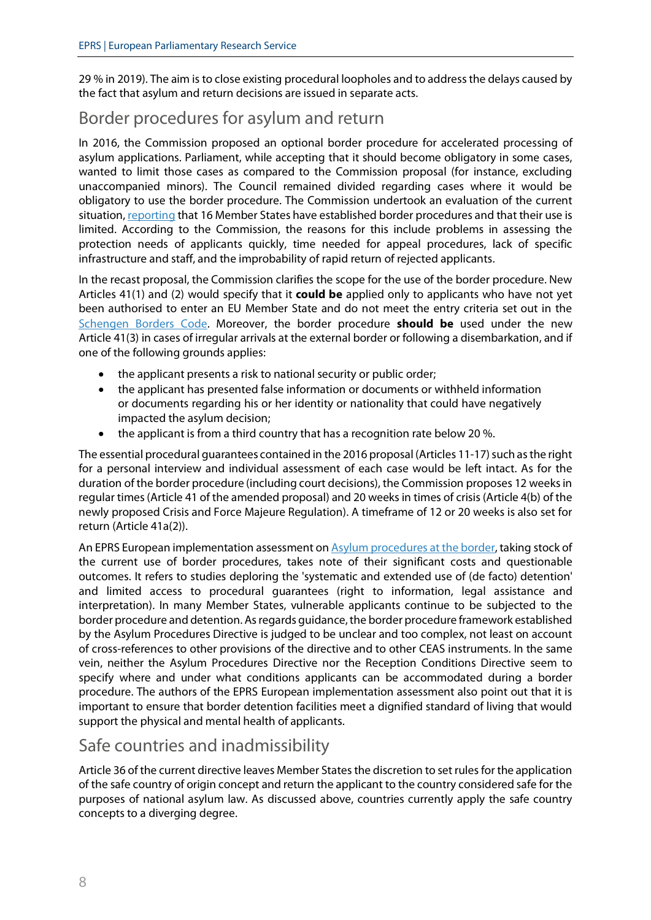29 % in 2019). The aim is to close existing procedural loopholes and to address the delays caused by the fact that asylum and return decisions are issued in separate acts.

## Border procedures for asylum and return

In 2016, the Commission proposed an optional border procedure for accelerated processing of asylum applications. Parliament, while accepting that it should become obligatory in some cases, wanted to limit those cases as compared to the Commission proposal (for instance, excluding unaccompanied minors). The Council remained divided regarding cases where it would be obligatory to use the border procedure. The Commission undertook an evaluation of the current situation[, reporting](https://eur-lex.europa.eu/legal-content/EN/TXT/PDF/?uri=CELEX:52020SC0207&from=EN) that 16 Member States have established border procedures and that their use is limited. According to the Commission, the reasons for this include problems in assessing the protection needs of applicants quickly, time needed for appeal procedures, lack of specific infrastructure and staff, and the improbability of rapid return of rejected applicants.

In the recast proposal, the Commission clarifies the scope for the use of the border procedure. New Articles 41(1) and (2) would specify that it **could be** applied only to applicants who have not yet been authorised to enter an EU Member State and do not meet the entry criteria set out in the [Schengen Borders Code.](https://eur-lex.europa.eu/legal-content/EN/TXT/?uri=celex%3A32016R0399) Moreover, the border procedure **should be** used under the new Article 41(3) in cases of irregular arrivals at the external border or following a disembarkation, and if one of the following grounds applies:

- the applicant presents a risk to national security or public order;
- the applicant has presented false information or documents or withheld information or documents regarding his or her identity or nationality that could have negatively impacted the asylum decision;
- the applicant is from a third country that has a recognition rate below 20 %.

The essential procedural guarantees contained in the 2016 proposal (Articles 11-17) such as the right for a personal interview and individual assessment of each case would be left intact. As for the duration of the border procedure (including court decisions), the Commission proposes 12 weeks in regular times (Article 41 of the amended proposal) and 20 weeks in times of crisis (Article 4(b) of the newly proposed Crisis and Force Majeure Regulation). A timeframe of 12 or 20 weeks is also set for return (Article 41a(2)).

An EPRS European implementation assessment on [Asylum procedures at the border,](https://www.europarl.europa.eu/RegData/etudes/STUD/2020/654201/EPRS_STU(2020)654201_EN.pdf) taking stock of the current use of border procedures, takes note of their significant costs and questionable outcomes. It refers to studies deploring the 'systematic and extended use of (de facto) detention' and limited access to procedural guarantees (right to information, legal assistance and interpretation). In many Member States, vulnerable applicants continue to be subjected to the border procedure and detention. As regards guidance, the border procedure framework established by the Asylum Procedures Directive is judged to be unclear and too complex, not least on account of cross-references to other provisions of the directive and to other CEAS instruments. In the same vein, neither the Asylum Procedures Directive nor the Reception Conditions Directive seem to specify where and under what conditions applicants can be accommodated during a border procedure. The authors of the EPRS European implementation assessment also point out that it is important to ensure that border detention facilities meet a dignified standard of living that would support the physical and mental health of applicants.

## Safe countries and inadmissibility

Article 36 of the current directive leaves Member States the discretion to set rules for the application of the safe country of origin concept and return the applicant to the country considered safe for the purposes of national asylum law. As discussed above, countries currently apply the safe country concepts to a diverging degree.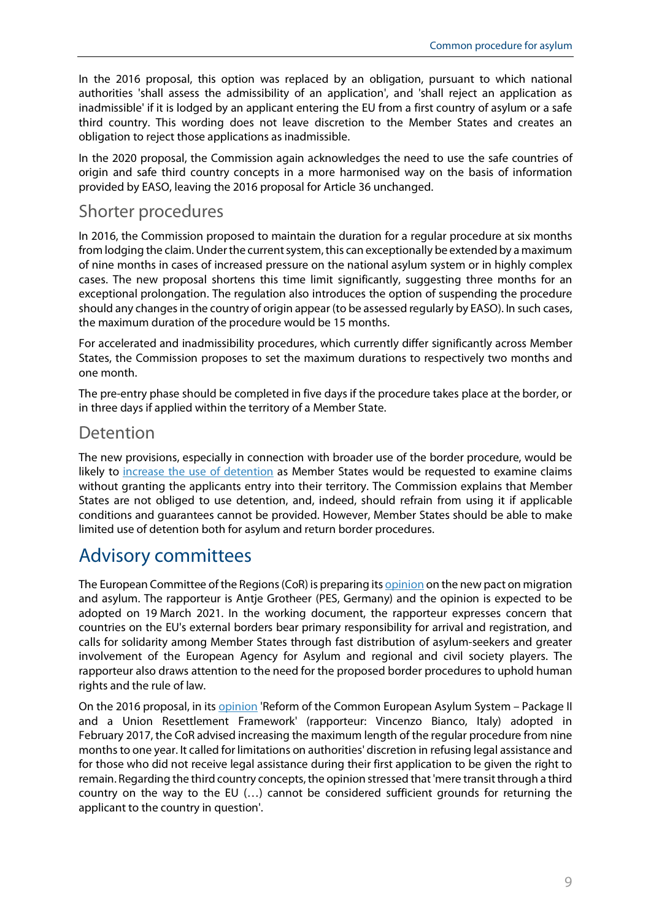In the 2016 proposal, this option was replaced by an obligation, pursuant to which national authorities 'shall assess the admissibility of an application', and 'shall reject an application as inadmissible' if it is lodged by an applicant entering the EU from a first country of asylum or a safe third country. This wording does not leave discretion to the Member States and creates an obligation to reject those applications as inadmissible.

In the 2020 proposal, the Commission again acknowledges the need to use the safe countries of origin and safe third country concepts in a more harmonised way on the basis of information provided by EASO, leaving the 2016 proposal for Article 36 unchanged.

## Shorter procedures

In 2016, the Commission proposed to maintain the duration for a regular procedure at six months from lodging the claim. Under the current system, this can exceptionally be extended by a maximum of nine months in cases of increased pressure on the national asylum system or in highly complex cases. The new proposal shortens this time limit significantly, suggesting three months for an exceptional prolongation. The regulation also introduces the option of suspending the procedure should any changes in the country of origin appear (to be assessed regularly by EASO). In such cases, the maximum duration of the procedure would be 15 months.

For accelerated and inadmissibility procedures, which currently differ significantly across Member States, the Commission proposes to set the maximum durations to respectively two months and one month.

The pre-entry phase should be completed in five days if the procedure takes place at the border, or in three days if applied within the territory of a Member State.

#### Detention

The new provisions, especially in connection with broader use of the border procedure, would be likely to [increase the use of detention](https://www.ecre.org/wp-content/uploads/2019/07/Policy-Note-21.pdf) as Member States would be requested to examine claims without granting the applicants entry into their territory. The Commission explains that Member States are not obliged to use detention, and, indeed, should refrain from using it if applicable conditions and guarantees cannot be provided. However, Member States should be able to make limited use of detention both for asylum and return border procedures.

## Advisory committees

The European Committee of the Regions (CoR) is preparing it[s opinion](https://cor.europa.eu/EN/our-work/Pages/OpinionTimeline.aspx?opId=CDR-4843-2020) on the new pact on migration and asylum. The rapporteur is Antje Grotheer (PES, Germany) and the opinion is expected to be adopted on 19 March 2021. In the working document, the rapporteur expresses concern that countries on the EU's external borders bear primary responsibility for arrival and registration, and calls for solidarity among Member States through fast distribution of asylum-seekers and greater involvement of the European Agency for Asylum and regional and civil society players. The rapporteur also draws attention to the need for the proposed border procedures to uphold human rights and the rule of law.

On the 2016 proposal, in its [opinion](https://eur-lex.europa.eu/legal-content/EN/TXT/?uri=CELEX:52016AR5807) 'Reform of the Common European Asylum System – Package II and a Union Resettlement Framework' (rapporteur: Vincenzo Bianco, Italy) adopted in February 2017, the CoR advised increasing the maximum length of the regular procedure from nine months to one year. It called for limitations on authorities' discretion in refusing legal assistance and for those who did not receive legal assistance during their first application to be given the right to remain. Regarding the third country concepts, the opinion stressed that 'mere transit through a third country on the way to the EU (…) cannot be considered sufficient grounds for returning the applicant to the country in question'.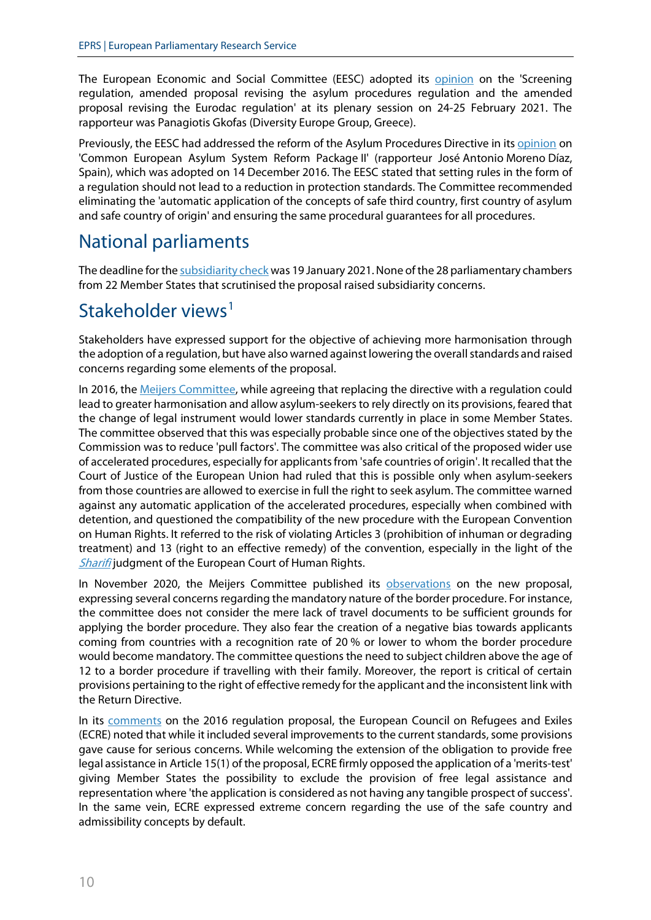The European Economic and Social Committee (EESC) adopted its [opinion](https://www.eesc.europa.eu/en/our-work/opinions-information-reports/opinions/screening-regulation-amended-proposal-revising-asylum-procedures-regulation-and-amended-proposal-revising-eurodac) on the 'Screening regulation, amended proposal revising the asylum procedures regulation and the amended proposal revising the Eurodac regulation' at its plenary session on 24-25 February 2021. The rapporteur was Panagiotis Gkofas (Diversity Europe Group, Greece).

Previously, the EESC had addressed the reform of the Asylum Procedures Directive in it[s opinion](https://www.eesc.europa.eu/en/our-work/opinions-information-reports/opinions/common-european-asylum-system-reform-package-ii) on 'Common European Asylum System Reform Package II' (rapporteur José Antonio Moreno Díaz, Spain), which was adopted on 14 December 2016. The EESC stated that setting rules in the form of a regulation should not lead to a reduction in protection standards. The Committee recommended eliminating the 'automatic application of the concepts of safe third country, first country of asylum and safe country of origin' and ensuring the same procedural guarantees for all procedures.

# National parliaments

The deadline for th[e subsidiarity check](https://ipexl.europarl.europa.eu/IPEXL-WEB/dossier/document/COM20200611.do) was 19 January 2021. None of the 28 parliamentary chambers from 22 Member States that scrutinised the proposal raised subsidiarity concerns.

# Stakeholder views<sup>[1](#page-11-0)</sup>

Stakeholders have expressed support for the objective of achieving more harmonisation through the adoption of a regulation, but have also warned against lowering the overall standards and raised concerns regarding some elements of the proposal.

In 2016, the [Meijers Committee,](http://www.commissie-meijers.nl/sites/all/files/cm1607_note_on_the_reform_of_the_common_european_asylum_system.pdf) while agreeing that replacing the directive with a regulation could lead to greater harmonisation and allow asylum-seekers to rely directly on its provisions, feared that the change of legal instrument would lower standards currently in place in some Member States. The committee observed that this was especially probable since one of the objectives stated by the Commission was to reduce 'pull factors'. The committee was also critical of the proposed wider use of accelerated procedures, especially for applicants from 'safe countries of origin'. It recalled that the Court of Justice of the European Union had ruled that this is possible only when asylum-seekers from those countries are allowed to exercise in full the right to seek asylum. The committee warned against any automatic application of the accelerated procedures, especially when combined with detention, and questioned the compatibility of the new procedure with the European Convention on Human Rights. It referred to the risk of violating Articles 3 (prohibition of inhuman or degrading treatment) and 13 (right to an effective remedy) of the convention, especially in the light of the **[Sharifi](https://hudoc.echr.coe.int/eng#%7B%22itemid%22:%5B%22002-10215%22%5D%7D)** judgment of the European Court of Human Rights.

In November 2020, the Meijers Committee published its [observations](https://www.statewatch.org/media/1501/eu-migration-pact-meijers-committee-asylum-procedures.pdf) on the new proposal, expressing several concerns regarding the mandatory nature of the border procedure. For instance, the committee does not consider the mere lack of travel documents to be sufficient grounds for applying the border procedure. They also fear the creation of a negative bias towards applicants coming from countries with a recognition rate of 20 % or lower to whom the border procedure would become mandatory. The committee questions the need to subject children above the age of 12 to a border procedure if travelling with their family. Moreover, the report is critical of certain provisions pertaining to the right of effective remedy for the applicant and the inconsistent link with the Return Directive.

In its [comments](http://www.ecre.org/wp-content/uploads/2016/11/ECRE-Comments-APR_-November-2016-final.pdf) on the 2016 regulation proposal, the European Council on Refugees and Exiles (ECRE) noted that while it included several improvements to the current standards, some provisions gave cause for serious concerns. While welcoming the extension of the obligation to provide free legal assistance in Article 15(1) of the proposal, ECRE firmly opposed the application of a 'merits-test' giving Member States the possibility to exclude the provision of free legal assistance and representation where 'the application is considered as not having any tangible prospect of success'. In the same vein, ECRE expressed extreme concern regarding the use of the safe country and admissibility concepts by default.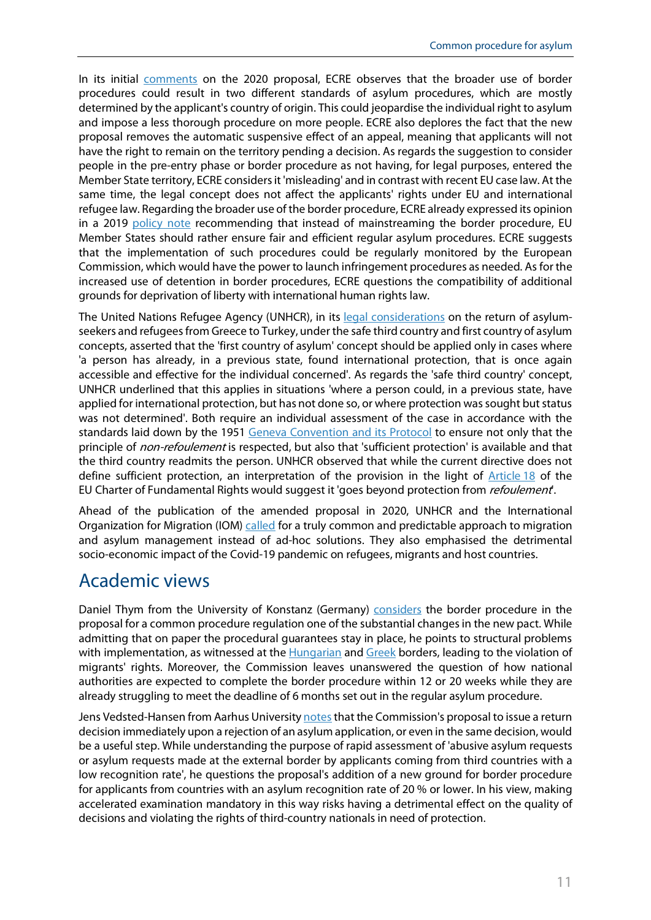In its initial [comments](https://www.ecre.org/the-pact-on-migration-and-asylum-to-provide-a-fresh-start-and-avoid-past-mistakes-risky-elements-need-to-be-addressed-and-positive-aspects-need-to-be-expanded/) on the 2020 proposal, ECRE observes that the broader use of border procedures could result in two different standards of asylum procedures, which are mostly determined by the applicant's country of origin. This could jeopardise the individual right to asylum and impose a less thorough procedure on more people. ECRE also deplores the fact that the new proposal removes the automatic suspensive effect of an appeal, meaning that applicants will not have the right to remain on the territory pending a decision. As regards the suggestion to consider people in the pre-entry phase or border procedure as not having, for legal purposes, entered the Member State territory, ECRE considers it 'misleading' and in contrast with recent EU case law. At the same time, the legal concept does not affect the applicants' rights under EU and international refugee law. Regarding the broader use of the border procedure, ECRE already expressed its opinion in a 2019 [policy note](https://www.ecre.org/wp-content/uploads/2019/07/Policy-Note-21.pdf) recommending that instead of mainstreaming the border procedure, EU Member States should rather ensure fair and efficient regular asylum procedures. ECRE suggests that the implementation of such procedures could be regularly monitored by the European Commission, which would have the power to launch infringement procedures as needed. As for the increased use of detention in border procedures, ECRE questions the compatibility of additional grounds for deprivation of liberty with international human rights law.

The United Nations Refugee Agency (UNHCR), in its [legal considerations](http://www.unhcr.org/56f3ec5a9.pdf) on the return of asylumseekers and refugees from Greece to Turkey, under the safe third country and first country of asylum concepts, asserted that the 'first country of asylum' concept should be applied only in cases where 'a person has already, in a previous state, found international protection, that is once again accessible and effective for the individual concerned'. As regards the 'safe third country' concept, UNHCR underlined that this applies in situations 'where a person could, in a previous state, have applied for international protection, but has not done so, or where protection was sought but status was not determined'. Both require an individual assessment of the case in accordance with the standards laid down by the 1951 [Geneva Convention and its Protocol](http://www.unhcr.org/protection/basic/3b66c2aa10/convention-protocol-relating-status-refugees.html) to ensure not only that the principle of *non-refoulement* is respected, but also that 'sufficient protection' is available and that the third country readmits the person. UNHCR observed that while the current directive does not define sufficient protection, an interpretation of the provision in the light of [Article](https://eur-lex.europa.eu/legal-content/EN/TXT/?uri=CELEX%3A12016P018) 18 of the EU Charter of Fundamental Rights would suggest it 'goes beyond protection from *refoulement*.

Ahead of the publication of the amended proposal in 2020, UNHCR and the International Organization for Migration (IOM[\) called](https://www.unhcr.org/news/press/2020/9/5f69deff4/unhcr-iom-call-truly-common-principled-approach-european-migration-asylum.html) for a truly common and predictable approach to migration and asylum management instead of ad-hoc solutions. They also emphasised the detrimental socio-economic impact of the Covid-19 pandemic on refugees, migrants and host countries.

## Academic views

Daniel Thym from the University of Konstanz (Germany) [considers](http://eumigrationlawblog.eu/european-realpolitik-legislative-uncertainties-und-operational-pitfalls-of-the-new-pact-on-migration-and-asylum/) the border procedure in the proposal for a common procedure regulation one of the substantial changes in the new pact. While admitting that on paper the procedural guarantees stay in place, he points to structural problems with implementation, as witnessed at the [Hungarian](https://hudoc.echr.coe.int/eng#%7B%22itemid%22:%5B%22001-198760%22%5D%7D) and [Greek](https://asylumineurope.org/reports/country/greece/asylum-procedure/procedures/fast-track-border-procedure-eastern-aegean/) borders, leading to the violation of migrants' rights. Moreover, the Commission leaves unanswered the question of how national authorities are expected to complete the border procedure within 12 or 20 weeks while they are already struggling to meet the deadline of 6 months set out in the regular asylum procedure.

Jens Vedsted-Hansen from Aarhus University notes that the Commission's proposal to issue a return decision immediately upon a rejection of an asylum application, or even in the same decision, would be a useful step. While understanding the purpose of rapid assessment of 'abusive asylum requests or asylum requests made at the external border by applicants coming from third countries with a low recognition rate', he questions the proposal's addition of a new ground for border procedure for applicants from countries with an asylum recognition rate of 20 % or lower. In his view, making accelerated examination mandatory in this way risks having a detrimental effect on the quality of decisions and violating the rights of third-country nationals in need of protection.